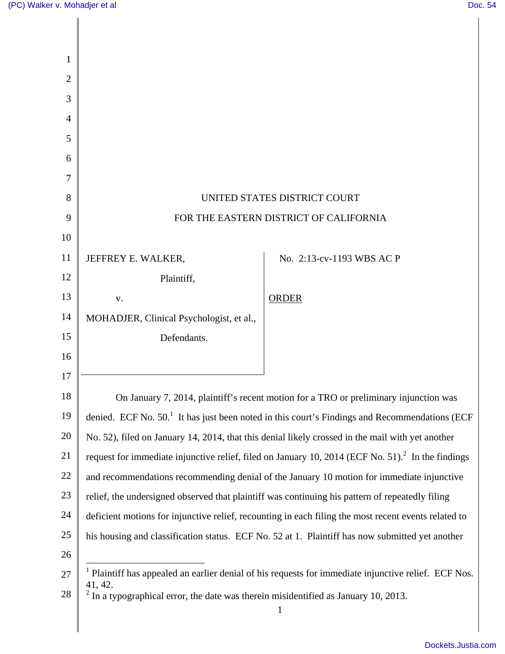| 1              |                                                                                                                   |                                                                                                 |
|----------------|-------------------------------------------------------------------------------------------------------------------|-------------------------------------------------------------------------------------------------|
| $\overline{2}$ |                                                                                                                   |                                                                                                 |
| 3              |                                                                                                                   |                                                                                                 |
| 4              |                                                                                                                   |                                                                                                 |
| 5              |                                                                                                                   |                                                                                                 |
| 6              |                                                                                                                   |                                                                                                 |
| 7              |                                                                                                                   |                                                                                                 |
| 8              | UNITED STATES DISTRICT COURT                                                                                      |                                                                                                 |
| 9              | FOR THE EASTERN DISTRICT OF CALIFORNIA                                                                            |                                                                                                 |
| 10             |                                                                                                                   |                                                                                                 |
| 11             | JEFFREY E. WALKER,                                                                                                | No. 2:13-cv-1193 WBS AC P                                                                       |
| 12             | Plaintiff,                                                                                                        |                                                                                                 |
| 13             | V.                                                                                                                | <b>ORDER</b>                                                                                    |
| 14             | MOHADJER, Clinical Psychologist, et al.,                                                                          |                                                                                                 |
| 15             | Defendants.                                                                                                       |                                                                                                 |
| 16             |                                                                                                                   |                                                                                                 |
| 17             |                                                                                                                   |                                                                                                 |
| 18             |                                                                                                                   | On January 7, 2014, plaintiff's recent motion for a TRO or preliminary injunction was           |
| 19             | denied. ECF No. $501$ It has just been noted in this court's Findings and Recommendations (ECF                    |                                                                                                 |
| 20             | No. 52), filed on January 14, 2014, that this denial likely crossed in the mail with yet another                  |                                                                                                 |
| 21             | request for immediate injunctive relief, filed on January 10, 2014 (ECF No. 51). <sup>2</sup> In the findings     |                                                                                                 |
| 22             | and recommendations recommending denial of the January 10 motion for immediate injunctive                         |                                                                                                 |
| 23             | relief, the undersigned observed that plaintiff was continuing his pattern of repeatedly filing                   |                                                                                                 |
| 24             | deficient motions for injunctive relief, recounting in each filing the most recent events related to              |                                                                                                 |
| 25             |                                                                                                                   | his housing and classification status. ECF No. 52 at 1. Plaintiff has now submitted yet another |
| 26             |                                                                                                                   |                                                                                                 |
| 27             | $1$ Plaintiff has appealed an earlier denial of his requests for immediate injunctive relief. ECF Nos.<br>41, 42. |                                                                                                 |
| 28             | $2$ In a typographical error, the date was therein misidentified as January 10, 2013.                             |                                                                                                 |
|                |                                                                                                                   |                                                                                                 |